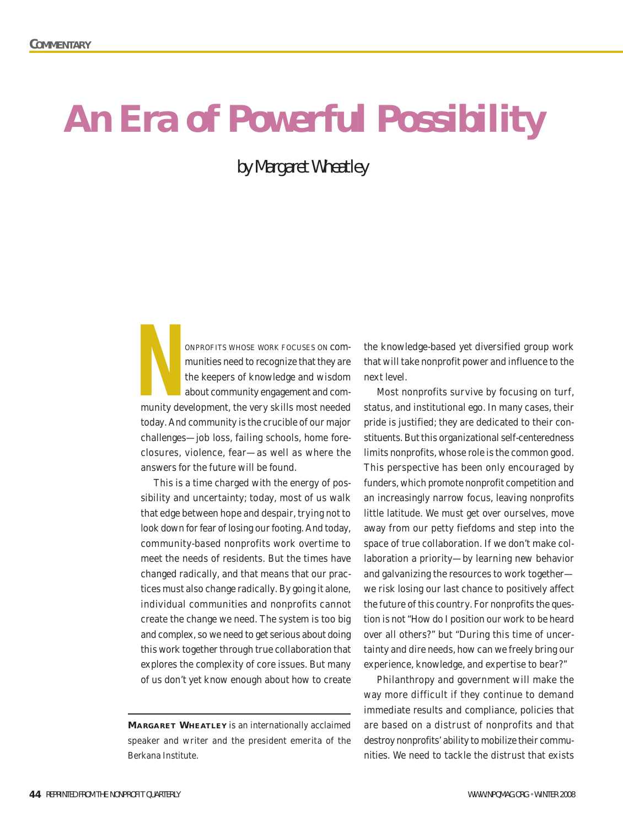## **An Era of Powerful Possibility**

by Margaret Wheatley

ONPROFITS WHOSE WORK FOCUSES ON communities need to recognize that they are the keepers of knowledge and wisdom about community engagement and community development, the very skills most needed today. And community is the crucible of our major challenges—job loss, failing schools, home foreclosures, violence, fear—as well as where the answers for the future will be found. **N**<br>munity de

This is a time charged with the energy of possibility and uncertainty; today, most of us walk that edge between hope and despair, trying not to look down for fear of losing our footing. And today, community-based nonprofits work overtime to meet the needs of residents. But the times have changed radically, and that means that our practices must also change radically. By going it alone, individual communities and nonprofits cannot create the change we need. The system is too big and complex, so we need to get serious about doing this work together through true collaboration that explores the complexity of core issues. But many of us don't yet know enough about how to create

the knowledge-based yet diversified group work that will take nonprofit power and influence to the next level.

Most nonprofits survive by focusing on turf, status, and institutional ego. In many cases, their pride is justified; they are dedicated to their constituents. But this organizational self-centeredness limits nonprofits, whose role is the common good. This perspective has been only encouraged by funders, which promote nonprofit competition and an increasingly narrow focus, leaving nonprofits little latitude. We must get over ourselves, move away from our petty fiefdoms and step into the space of true collaboration. If we don't make collaboration a priority—by learning new behavior and galvanizing the resources to work together we risk losing our last chance to positively affect the future of this country. For nonprofits the question is not "How do I position our work to be heard over all others?" but "During this time of uncertainty and dire needs, how can we freely bring our experience, knowledge, and expertise to bear?"

Philanthropy and government will make the way more difficult if they continue to demand immediate results and compliance, policies that are based on a distrust of nonprofits and that destroy nonprofits' ability to mobilize their communities. We need to tackle the distrust that exists

**MA RGARET WHEATLEY** is an internationally acclaimed speaker and writer and the president emerita of the Berkana Institute.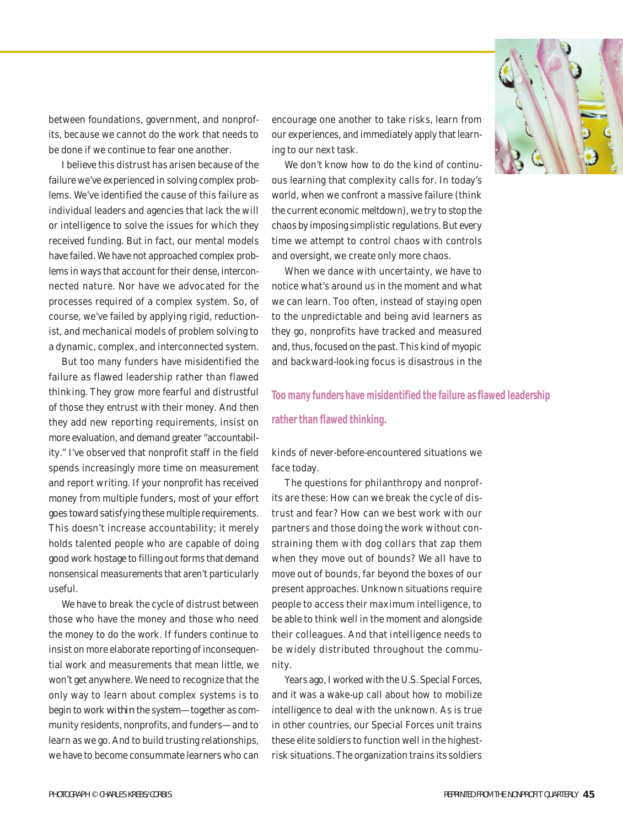

between foundations, government, and nonprofits, because we cannot do the work that needs to be done if we continue to fear one another.

I believe this distrust has arisen because of the failure we've experienced in solving complex problems. We've identified the cause of this failure as individual leaders and agencies that lack the will or intelligence to solve the issues for which they received funding. But in fact, our mental models have failed. We have not approached complex problems in ways that account for their dense, interconnected nature. Nor have we advocated for the processes required of a complex system. So, of course, we've failed by applying rigid, reductionist, and mechanical models of problem solving to a dynamic, complex, and interconnected system.

But too many funders have misidentified the failure as flawed leadership rather than flawed thinking. They grow more fearful and distrustful of those they entrust with their money. And then they add new reporting requirements, insist on more evaluation, and demand greater "accountability." I've observed that nonprofit staff in the field spends increasingly more time on measurement and report writing. If your nonprofit has received money from multiple funders, most of your effort goes toward satisfying these multiple requirements. This doesn't increase accountability; it merely holds talented people who are capable of doing good work hostage to filling out forms that demand nonsensical measurements that aren't particularly useful.

We have to break the cycle of distrust between those who have the money and those who need the money to do the work. If funders continue to insist on more elaborate reporting of inconsequential work and measurements that mean little, we won't get anywhere. We need to recognize that the only way to learn about complex systems is to begin to work *within* the system—together as community residents, nonprofits, and funders—and to learn as we go. And to build trusting relationships, we have to become consummate learners who can encourage one another to take risks, learn from our experiences, and immediately apply that learning to our next task.

We don't know how to do the kind of continuous learning that complexity calls for. In today's world, when we confront a massive failure (think the current economic meltdown), we try to stop the chaos by imposing simplistic regulations. But every time we attempt to control chaos with controls and oversight, we create only more chaos.

When we dance with uncertainty, we have to notice what's around us in the moment and what we can learn. Too often, instead of staying open to the unpredictable and being avid learners as they go, nonprofits have tracked and measured and, thus, focused on the past. This kind of myopic and backward-looking focus is disastrous in the

## **Too many funders have misidentified the failure as flawed leadership**

## **rather than flawed thinking.**

kinds of never-before-encountered situations we face today.

The questions for philanthropy and nonprofits are these: How can we break the cycle of distrust and fear? How can we best work with our partners and those doing the work without constraining them with dog collars that zap them when they move out of bounds? We all have to move out of bounds, far beyond the boxes of our present approaches. Unknown situations require people to access their maximum intelligence, to be able to think well in the moment and alongside their colleagues. And that intelligence needs to be widely distributed throughout the community.

Years ago, I worked with the U.S. Special Forces, and it was a wake-up call about how to mobilize intelligence to deal with the unknown. As is true in other countries, our Special Forces unit trains these elite soldiers to function well in the highestrisk situations. The organization trains its soldiers